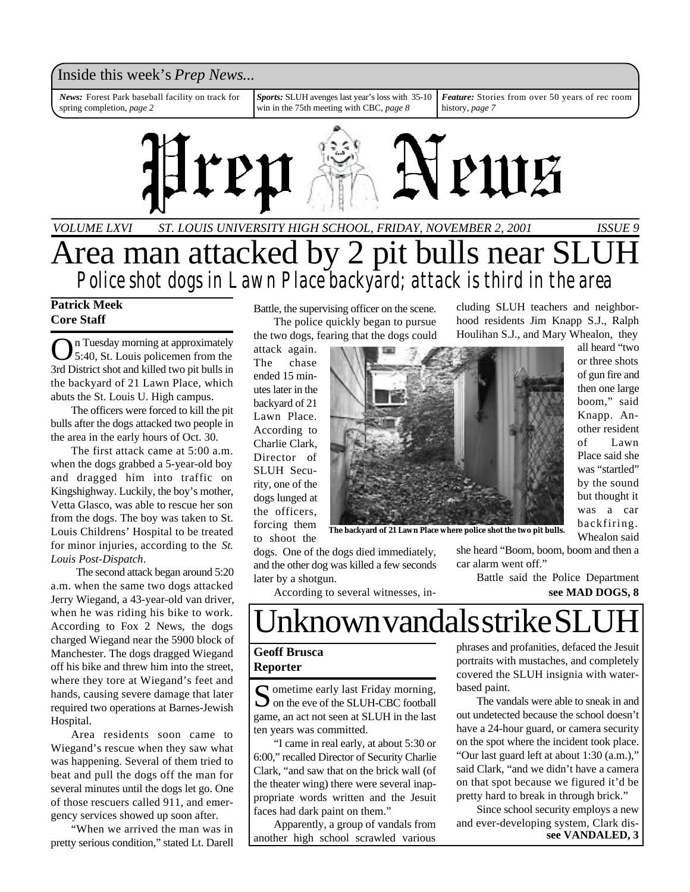### Inside this week's *Prep News*...

*Sports:* SLUH avenges last year's loss with 35-10 win in the 75th meeting with CBC, *page 8 Feature:* Stories from over 50 years of rec room history, *page 7 News:* Forest Park baseball facility on track for spring completion, *page 2*



*ST. LOUIS UNIVERSITY HIGH SCHOOL, FRIDAY, NOVEMBER 2, 2001 ISSUE 9* Area man attacked by 2 pit bulls near SLUH *Police shot dogs in Lawn Place backyard; attack is third in the area VOLUME LXVI*

### **Patrick Meek Core Staff**

O n Tuesday morning at approximately 5:40, St. Louis policemen from the 3rd District shot and killed two pit bulls in the backyard of 21 Lawn Place, which abuts the St. Louis U. High campus.

The officers were forced to kill the pit bulls after the dogs attacked two people in the area in the early hours of Oct. 30.

The first attack came at 5:00 a.m. when the dogs grabbed a 5-year-old boy and dragged him into traffic on Kingshighway. Luckily, the boy's mother, Vetta Glasco, was able to rescue her son from the dogs. The boy was taken to St. Louis Childrens' Hospital to be treated for minor injuries, according to the *St. Louis Post-Dispatch*.

 The second attack began around 5:20 a.m. when the same two dogs attacked Jerry Wiegand, a 43-year-old van driver, when he was riding his bike to work. According to Fox 2 News, the dogs charged Wiegand near the 5900 block of Manchester. The dogs dragged Wiegand off his bike and threw him into the street, where they tore at Wiegand's feet and hands, causing severe damage that later required two operations at Barnes-Jewish Hospital.

Area residents soon came to Wiegand's rescue when they saw what was happening. Several of them tried to beat and pull the dogs off the man for several minutes until the dogs let go. One of those rescuers called 911, and emergency services showed up soon after.

"When we arrived the man was in pretty serious condition," stated Lt. Darell Battle, the supervising officer on the scene. The police quickly began to pursue the two dogs, fearing that the dogs could

attack again. The chase ended 15 minutes later in the backyard of 21 Lawn Place. According to Charlie Clark, Director of SLUH Security, one of the dogs lunged at the officers, forcing them to shoot the



**The backyard of 21 Lawn Place where police shot the two pit bulls.**

dogs. One of the dogs died immediately, and the other dog was killed a few seconds later by a shotgun.

she heard "Boom, boom, boom and then a car alarm went off."

cluding SLUH teachers and neighborhood residents Jim Knapp S.J., Ralph

> Battle said the Police Department **see MAD DOGS, 8**

According to several witnesses, in-

# nknown vandals strike SL

### **Geoff Brusca Reporter**

Sometime early last Friday morning,<br>
on the eve of the SLUH-CBC football  $\bigcap$  ometime early last Friday morning, game, an act not seen at SLUH in the last ten years was committed.

"I came in real early, at about 5:30 or 6:00," recalled Director of Security Charlie Clark, "and saw that on the brick wall (of the theater wing) there were several inappropriate words written and the Jesuit faces had dark paint on them."

Apparently, a group of vandals from another high school scrawled various phrases and profanities, defaced the Jesuit portraits with mustaches, and completely covered the SLUH insignia with waterbased paint.

The vandals were able to sneak in and out undetected because the school doesn't have a 24-hour guard, or camera security on the spot where the incident took place. "Our last guard left at about 1:30 (a.m.)," said Clark, "and we didn't have a camera on that spot because we figured it'd be pretty hard to break in through brick."

Since school security employs a new and ever-developing system, Clark dis**see VANDALED, 3**

all heard "two or three shots of gun fire and then one large boom," said Knapp. Another resident of Lawn Place said she was "startled" by the sound but thought it was a car backfiring.

Whealon said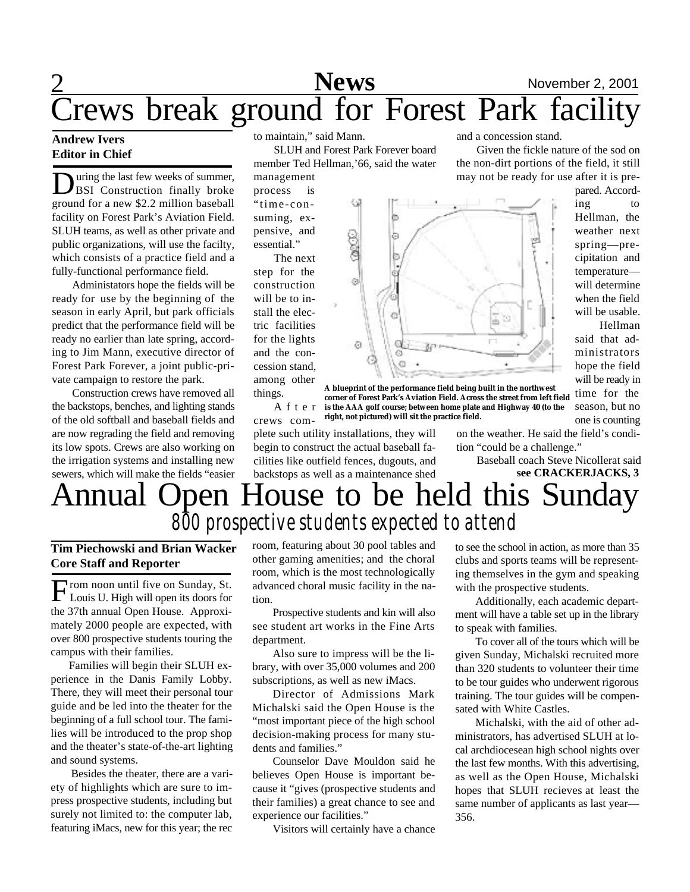# 2 **Sports News** November 2, 2001 Crews break ground for Forest Park facility

### **Andrew Ivers Editor in Chief**

During the last few weeks of summer,<br>BSI Construction finally broke<br>ground for a new \$2.2 million baseball uring the last few weeks of summer, BSI Construction finally broke facility on Forest Park's Aviation Field. SLUH teams, as well as other private and public organizations, will use the facilty, which consists of a practice field and a fully-functional performance field.

Administators hope the fields will be ready for use by the beginning of the season in early April, but park officials predict that the performance field will be ready no earlier than late spring, according to Jim Mann, executive director of Forest Park Forever, a joint public-private campaign to restore the park.

Construction crews have removed all the backstops, benches, and lighting stands of the old softball and baseball fields and are now regrading the field and removing its low spots. Crews are also working on the irrigation systems and installing new sewers, which will make the fields "easier to maintain," said Mann.

SLUH and Forest Park Forever board member Ted Hellman,'66, said the water

management process is "time-consuming, expensive, and essential."

The next step for the construction will be to install the electric facilities for the lights and the concession stand, among other things.



and a concession stand.

Given the fickle nature of the sod on the non-dirt portions of the field, it still

A f t e r **is the AAA golf course; between home plate and Highway 40 (to the A blueprint of the performance field being built in the northwest corner of Forest Park's Aviation Field. Across the street from left field right, not pictured) will sit the practice field.**

crews complete such utility installations, they will begin to construct the actual baseball facilities like outfield fences, dugouts, and backstops as well as a maintenance shed

on the weather. He said the field's condition "could be a challenge."

> Baseball coach Steve Nicollerat said **see CRACKERJACKS, 3**

## Annual Open House to be held this Sunda *800 prospective students expected to attend*

### **Tim Piechowski and Brian Wacker Core Staff and Reporter**

From noon until five on Sunday, St.<br>Louis U. High will open its doors for rom noon until five on Sunday, St. the 37th annual Open House. Approximately 2000 people are expected, with over 800 prospective students touring the campus with their families.

Families will begin their SLUH experience in the Danis Family Lobby. There, they will meet their personal tour guide and be led into the theater for the beginning of a full school tour. The families will be introduced to the prop shop and the theater's state-of-the-art lighting and sound systems.

Besides the theater, there are a variety of highlights which are sure to impress prospective students, including but surely not limited to: the computer lab, featuring iMacs, new for this year; the rec room, featuring about 30 pool tables and other gaming amenities; and the choral room, which is the most technologically advanced choral music facility in the nation.

Prospective students and kin will also see student art works in the Fine Arts department.

Also sure to impress will be the library, with over 35,000 volumes and 200 subscriptions, as well as new iMacs.

Director of Admissions Mark Michalski said the Open House is the "most important piece of the high school decision-making process for many students and families."

Counselor Dave Mouldon said he believes Open House is important because it "gives (prospective students and their families) a great chance to see and experience our facilities."

Visitors will certainly have a chance

to see the school in action, as more than 35 clubs and sports teams will be representing themselves in the gym and speaking with the prospective students.

Additionally, each academic department will have a table set up in the library to speak with families.

To cover all of the tours which will be given Sunday, Michalski recruited more than 320 students to volunteer their time to be tour guides who underwent rigorous training. The tour guides will be compensated with White Castles.

Michalski, with the aid of other administrators, has advertised SLUH at local archdiocesean high school nights over the last few months. With this advertising, as well as the Open House, Michalski hopes that SLUH recieves at least the same number of applicants as last year— 356.

may not be ready for use after it is prepared. According to Hellman, the weather next spring—precipitation and temperature will determine when the field will be usable.

 Hellman said that administrators hope the field will be ready in time for the season, but no one is counting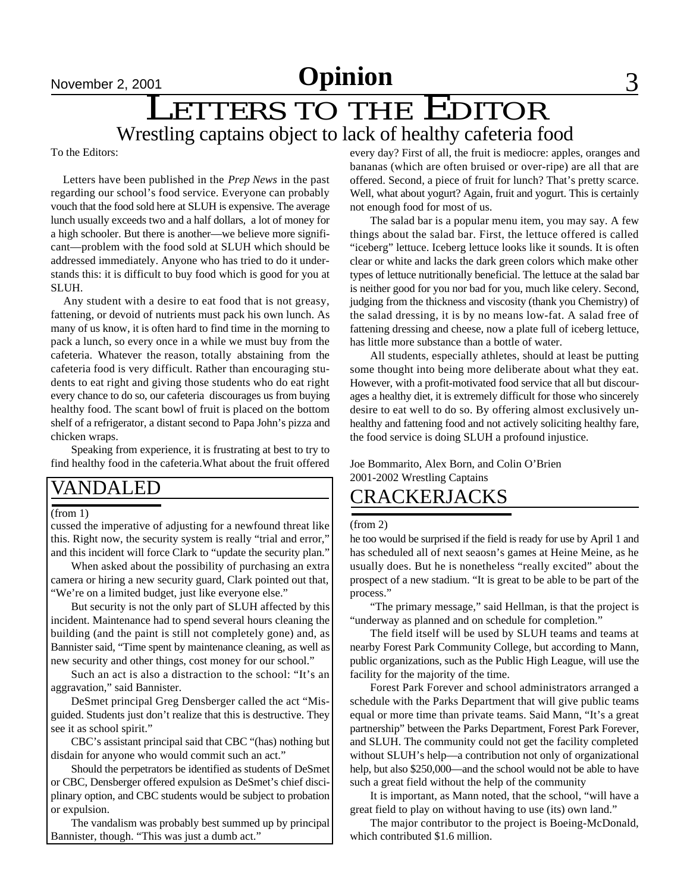### LETTERS TO THE EDITOR Wrestling captains object to lack of healthy cafeteria food

To the Editors:

 Letters have been published in the *Prep News* in the past regarding our school's food service. Everyone can probably vouch that the food sold here at SLUH is expensive. The average lunch usually exceeds two and a half dollars, a lot of money for a high schooler. But there is another—we believe more significant—problem with the food sold at SLUH which should be addressed immediately. Anyone who has tried to do it understands this: it is difficult to buy food which is good for you at SLUH.

 Any student with a desire to eat food that is not greasy, fattening, or devoid of nutrients must pack his own lunch. As many of us know, it is often hard to find time in the morning to pack a lunch, so every once in a while we must buy from the cafeteria. Whatever the reason, totally abstaining from the cafeteria food is very difficult. Rather than encouraging students to eat right and giving those students who do eat right every chance to do so, our cafeteria discourages us from buying healthy food. The scant bowl of fruit is placed on the bottom shelf of a refrigerator, a distant second to Papa John's pizza and chicken wraps.

Speaking from experience, it is frustrating at best to try to find healthy food in the cafeteria.What about the fruit offered

### VANDALED

#### (from 1)

cussed the imperative of adjusting for a newfound threat like this. Right now, the security system is really "trial and error," and this incident will force Clark to "update the security plan."

When asked about the possibility of purchasing an extra camera or hiring a new security guard, Clark pointed out that, "We're on a limited budget, just like everyone else."

But security is not the only part of SLUH affected by this incident. Maintenance had to spend several hours cleaning the building (and the paint is still not completely gone) and, as Bannister said, "Time spent by maintenance cleaning, as well as new security and other things, cost money for our school."

Such an act is also a distraction to the school: "It's an aggravation," said Bannister.

DeSmet principal Greg Densberger called the act "Misguided. Students just don't realize that this is destructive. They see it as school spirit."

CBC's assistant principal said that CBC "(has) nothing but disdain for anyone who would commit such an act."

Should the perpetrators be identified as students of DeSmet or CBC, Densberger offered expulsion as DeSmet's chief disciplinary option, and CBC students would be subject to probation or expulsion.

The vandalism was probably best summed up by principal Bannister, though. "This was just a dumb act."

every day? First of all, the fruit is mediocre: apples, oranges and bananas (which are often bruised or over-ripe) are all that are offered. Second, a piece of fruit for lunch? That's pretty scarce. Well, what about yogurt? Again, fruit and yogurt. This is certainly not enough food for most of us.

The salad bar is a popular menu item, you may say. A few things about the salad bar. First, the lettuce offered is called "iceberg" lettuce. Iceberg lettuce looks like it sounds. It is often clear or white and lacks the dark green colors which make other types of lettuce nutritionally beneficial. The lettuce at the salad bar is neither good for you nor bad for you, much like celery. Second, judging from the thickness and viscosity (thank you Chemistry) of the salad dressing, it is by no means low-fat. A salad free of fattening dressing and cheese, now a plate full of iceberg lettuce, has little more substance than a bottle of water.

All students, especially athletes, should at least be putting some thought into being more deliberate about what they eat. However, with a profit-motivated food service that all but discourages a healthy diet, it is extremely difficult for those who sincerely desire to eat well to do so. By offering almost exclusively unhealthy and fattening food and not actively soliciting healthy fare, the food service is doing SLUH a profound injustice.

Joe Bommarito, Alex Born, and Colin O'Brien 2001-2002 Wrestling Captains

### CRACKERJACKS

### (from 2)

he too would be surprised if the field is ready for use by April 1 and has scheduled all of next seaosn's games at Heine Meine, as he usually does. But he is nonetheless "really excited" about the prospect of a new stadium. "It is great to be able to be part of the process."

"The primary message," said Hellman, is that the project is "underway as planned and on schedule for completion."

The field itself will be used by SLUH teams and teams at nearby Forest Park Community College, but according to Mann, public organizations, such as the Public High League, will use the facility for the majority of the time.

Forest Park Forever and school administrators arranged a schedule with the Parks Department that will give public teams equal or more time than private teams. Said Mann, "It's a great partnership" between the Parks Department, Forest Park Forever, and SLUH. The community could not get the facility completed without SLUH's help—a contribution not only of organizational help, but also \$250,000—and the school would not be able to have such a great field without the help of the community

It is important, as Mann noted, that the school, "will have a great field to play on without having to use (its) own land."

The major contributor to the project is Boeing-McDonald, which contributed \$1.6 million.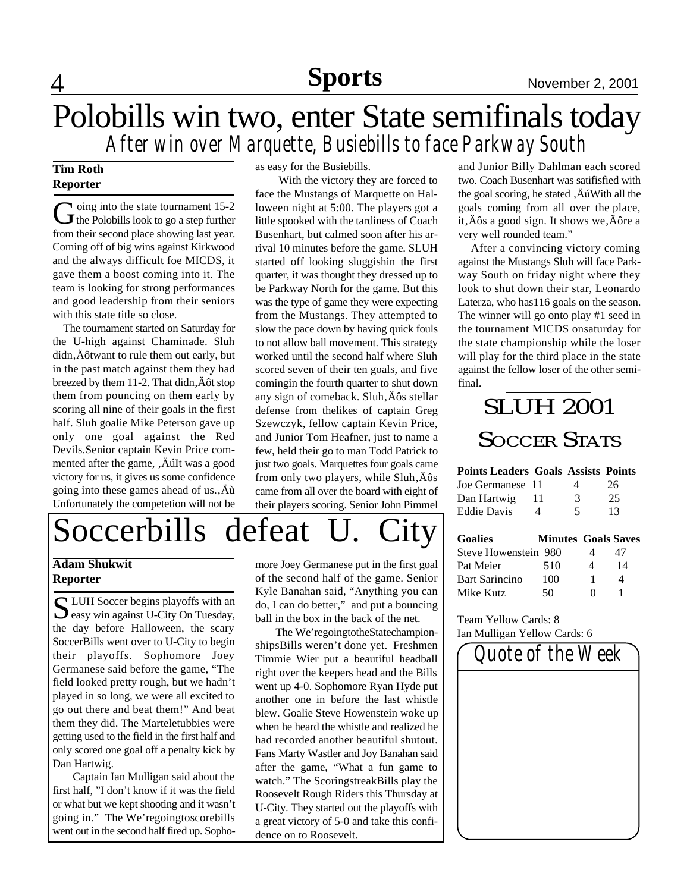# 4 **Sports** November 2, 2001

### Polobills win two, enter State semifinals today *After win over Marquette, Busiebills to face Parkway South*

### **Tim Roth Reporter**

G oing into the state tournament 15-2<br>the Polobills look to go a step further oing into the state tournament 15-2 from their second place showing last year. Coming off of big wins against Kirkwood and the always difficult foe MICDS, it gave them a boost coming into it. The team is looking for strong performances and good leadership from their seniors with this state title so close.

 The tournament started on Saturday for the U-high against Chaminade. Sluh didn,  $\ddot{A}$  ôtwant to rule them out early, but in the past match against them they had breezed by them  $11-2$ . That didn,  $\ddot{A}$  ôt stop them from pouncing on them early by scoring all nine of their goals in the first half. Sluh goalie Mike Peterson gave up only one goal against the Red Devils.Senior captain Kevin Price commented after the game, , Ault was a good victory for us, it gives us some confidence going into these games ahead of  $us.\overrightarrow{A}u$ Unfortunately the competetion will not be as easy for the Busiebills.

 With the victory they are forced to face the Mustangs of Marquette on Halloween night at 5:00. The players got a little spooked with the tardiness of Coach Busenhart, but calmed soon after his arrival 10 minutes before the game. SLUH started off looking sluggishin the first quarter, it was thought they dressed up to be Parkway North for the game. But this was the type of game they were expecting from the Mustangs. They attempted to slow the pace down by having quick fouls to not allow ball movement. This strategy worked until the second half where Sluh scored seven of their ten goals, and five comingin the fourth quarter to shut down any sign of comeback. Sluh, Äôs stellar defense from thelikes of captain Greg Szewczyk, fellow captain Kevin Price, and Junior Tom Heafner, just to name a few, held their go to man Todd Patrick to just two goals. Marquettes four goals came from only two players, while  $Sluh, Å\hat{o}s$ came from all over the board with eight of their players scoring. Senior John Pimmel and Junior Billy Dahlman each scored two. Coach Busenhart was satifisfied with the goal scoring, he stated , Au With all the goals coming from all over the place, it,  $\angle$  as a good sign. It shows we,  $\angle$  as a very well rounded team."

 After a convincing victory coming against the Mustangs Sluh will face Parkway South on friday night where they look to shut down their star, Leonardo Laterza, who has116 goals on the season. The winner will go onto play #1 seed in the tournament MICDS onsaturday for the state championship while the loser will play for the third place in the state against the fellow loser of the other semifinal.

## SLUH 2001 SOCCER STATS

### **Points Leaders Goals Assists Points**

| Joe Germanese 11   | 4                        | 26 |
|--------------------|--------------------------|----|
| Dan Hartwig        | 3                        | 25 |
| <b>Eddie Davis</b> | $\overline{\phantom{1}}$ | 13 |

| <b>Goalies</b>       | <b>Minutes Goals Saves</b> |   |    |
|----------------------|----------------------------|---|----|
| Steve Howenstein 980 |                            |   | 47 |
| Pat Meier            | 510                        | Δ | 14 |
| Bart Sarincino       | 100                        |   | Δ  |
| Mike Kutz            | 50                         |   |    |

Team Yellow Cards: 8 Ian Mulligan Yellow Cards: 6



# Soccerbills defeat U. City

### **Adam Shukwit Reporter**

S LUH Soccer begins playoffs with an easy win against U-City On Tuesday, easy win against U-City On Tuesday, the day before Halloween, the scary SoccerBills went over to U-City to begin their playoffs. Sophomore Joey Germanese said before the game, "The field looked pretty rough, but we hadn't played in so long, we were all excited to go out there and beat them!" And beat them they did. The Marteletubbies were getting used to the field in the first half and only scored one goal off a penalty kick by Dan Hartwig.

Captain Ian Mulligan said about the first half, "I don't know if it was the field or what but we kept shooting and it wasn't going in." The We'regoingtoscorebills went out in the second half fired up. Sophomore Joey Germanese put in the first goal of the second half of the game. Senior Kyle Banahan said, "Anything you can do, I can do better," and put a bouncing ball in the box in the back of the net.

The We'regoingtotheStatechampionshipsBills weren't done yet. Freshmen Timmie Wier put a beautiful headball right over the keepers head and the Bills went up 4-0. Sophomore Ryan Hyde put another one in before the last whistle blew. Goalie Steve Howenstein woke up when he heard the whistle and realized he had recorded another beautiful shutout. Fans Marty Wastler and Joy Banahan said after the game, "What a fun game to watch." The ScoringstreakBills play the Roosevelt Rough Riders this Thursday at U-City. They started out the playoffs with a great victory of 5-0 and take this confidence on to Roosevelt.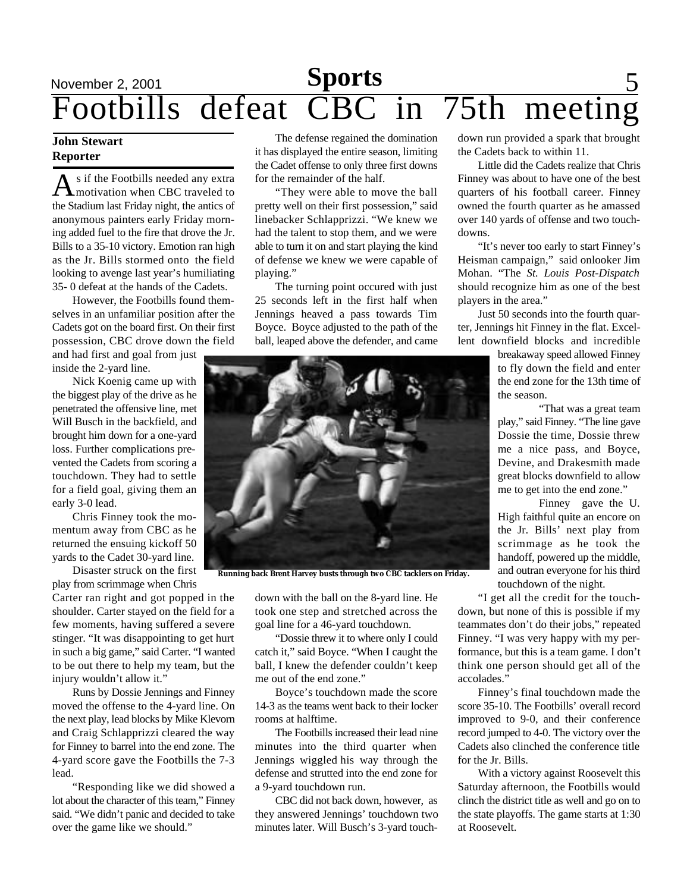# November 2, 2001 **Sports** 5 Footbills defeat CBC in 75th meeting

### **John Stewart Reporter**

As if the Footbills needed any extra<br>
Montivation when CBC traveled to s if the Footbills needed any extra the Stadium last Friday night, the antics of anonymous painters early Friday morning added fuel to the fire that drove the Jr. Bills to a 35-10 victory. Emotion ran high as the Jr. Bills stormed onto the field looking to avenge last year's humiliating 35- 0 defeat at the hands of the Cadets.

However, the Footbills found themselves in an unfamiliar position after the Cadets got on the board first. On their first possession, CBC drove down the field

and had first and goal from just inside the 2-yard line.

Nick Koenig came up with the biggest play of the drive as he penetrated the offensive line, met Will Busch in the backfield, and brought him down for a one-yard loss. Further complications prevented the Cadets from scoring a touchdown. They had to settle for a field goal, giving them an early 3-0 lead.

Chris Finney took the momentum away from CBC as he returned the ensuing kickoff 50 yards to the Cadet 30-yard line.

Disaster struck on the first play from scrimmage when Chris

Carter ran right and got popped in the shoulder. Carter stayed on the field for a few moments, having suffered a severe stinger. "It was disappointing to get hurt in such a big game," said Carter. "I wanted to be out there to help my team, but the injury wouldn't allow it."

Runs by Dossie Jennings and Finney moved the offense to the 4-yard line. On the next play, lead blocks by Mike Klevorn and Craig Schlapprizzi cleared the way for Finney to barrel into the end zone. The 4-yard score gave the Footbills the 7-3 lead.

"Responding like we did showed a lot about the character of this team," Finney said. "We didn't panic and decided to take over the game like we should."

The defense regained the domination it has displayed the entire season, limiting the Cadet offense to only three first downs for the remainder of the half.

"They were able to move the ball pretty well on their first possession," said linebacker Schlapprizzi. "We knew we had the talent to stop them, and we were able to turn it on and start playing the kind of defense we knew we were capable of playing."

The turning point occured with just 25 seconds left in the first half when Jennings heaved a pass towards Tim Boyce. Boyce adjusted to the path of the ball, leaped above the defender, and came



**Running back Brent Harvey busts through two CBC tacklers on Friday.**

down with the ball on the 8-yard line. He took one step and stretched across the goal line for a 46-yard touchdown.

"Dossie threw it to where only I could catch it," said Boyce. "When I caught the ball, I knew the defender couldn't keep me out of the end zone."

Boyce's touchdown made the score 14-3 as the teams went back to their locker rooms at halftime.

The Footbills increased their lead nine minutes into the third quarter when Jennings wiggled his way through the defense and strutted into the end zone for a 9-yard touchdown run.

CBC did not back down, however, as they answered Jennings' touchdown two minutes later. Will Busch's 3-yard touchdown run provided a spark that brought the Cadets back to within 11.

Little did the Cadets realize that Chris Finney was about to have one of the best quarters of his football career. Finney owned the fourth quarter as he amassed over 140 yards of offense and two touchdowns.

"It's never too early to start Finney's Heisman campaign," said onlooker Jim Mohan. "The *St. Louis Post-Dispatch* should recognize him as one of the best players in the area."

Just 50 seconds into the fourth quarter, Jennings hit Finney in the flat. Excellent downfield blocks and incredible

> breakaway speed allowed Finney to fly down the field and enter the end zone for the 13th time of the season.

> "That was a great team play," said Finney. "The line gave Dossie the time, Dossie threw me a nice pass, and Boyce, Devine, and Drakesmith made great blocks downfield to allow me to get into the end zone."

> Finney gave the U. High faithful quite an encore on the Jr. Bills' next play from scrimmage as he took the handoff, powered up the middle, and outran everyone for his third touchdown of the night.

"I get all the credit for the touchdown, but none of this is possible if my teammates don't do their jobs," repeated Finney. "I was very happy with my performance, but this is a team game. I don't think one person should get all of the accolades."

Finney's final touchdown made the score 35-10. The Footbills' overall record improved to 9-0, and their conference record jumped to 4-0. The victory over the Cadets also clinched the conference title for the Jr. Bills.

With a victory against Roosevelt this Saturday afternoon, the Footbills would clinch the district title as well and go on to the state playoffs. The game starts at 1:30 at Roosevelt.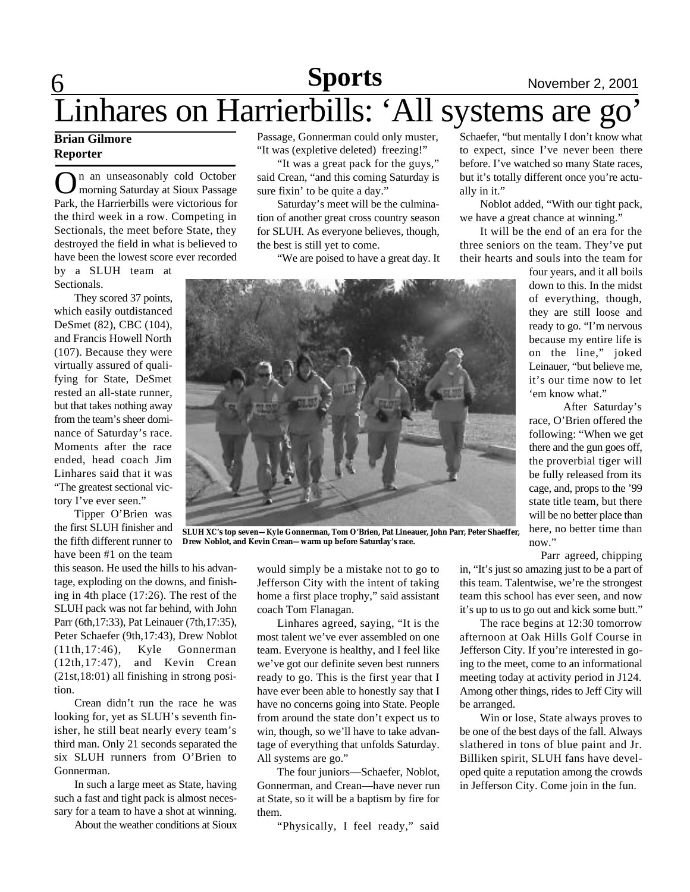# 6 **Sports** November 2, 2001 Linhares on Harrierbills: 'All systems are go'

### **Brian Gilmore Reporter**

**O**n an unseasonably cold October<br>
Park, the Harrierbills were victorious for n an unseasonably cold October morning Saturday at Sioux Passage the third week in a row. Competing in Sectionals, the meet before State, they destroyed the field in what is believed to have been the lowest score ever recorded by a SLUH team at

Sectionals.

They scored 37 points, which easily outdistanced DeSmet (82), CBC (104), and Francis Howell North (107). Because they were virtually assured of qualifying for State, DeSmet rested an all-state runner, but that takes nothing away from the team's sheer dominance of Saturday's race. Moments after the race ended, head coach Jim Linhares said that it was "The greatest sectional victory I've ever seen."

Tipper O'Brien was the first SLUH finisher and the fifth different runner to have been #1 on the team

this season. He used the hills to his advantage, exploding on the downs, and finishing in 4th place (17:26). The rest of the SLUH pack was not far behind, with John Parr (6th,17:33), Pat Leinauer (7th,17:35), Peter Schaefer (9th,17:43), Drew Noblot (11th,17:46), Kyle Gonnerman (12th,17:47), and Kevin Crean (21st,18:01) all finishing in strong position.

Crean didn't run the race he was looking for, yet as SLUH's seventh finisher, he still beat nearly every team's third man. Only 21 seconds separated the six SLUH runners from O'Brien to Gonnerman.

In such a large meet as State, having such a fast and tight pack is almost necessary for a team to have a shot at winning.

About the weather conditions at Sioux

Passage, Gonnerman could only muster, "It was (expletive deleted) freezing!"

"It was a great pack for the guys," said Crean, "and this coming Saturday is sure fixin' to be quite a day."

Saturday's meet will be the culmination of another great cross country season for SLUH. As everyone believes, though, the best is still yet to come.

"We are poised to have a great day. It

Schaefer, "but mentally I don't know what to expect, since I've never been there before. I've watched so many State races, but it's totally different once you're actually in it."

Noblot added, "With our tight pack, we have a great chance at winning."

It will be the end of an era for the three seniors on the team. They've put their hearts and souls into the team for

four years, and it all boils down to this. In the midst of everything, though, they are still loose and ready to go. "I'm nervous because my entire life is on the line," joked Leinauer, "but believe me, it's our time now to let 'em know what."

After Saturday's race, O'Brien offered the following: "When we get there and the gun goes off, the proverbial tiger will be fully released from its cage, and, props to the '99 state title team, but there will be no better place than here, no better time than now"

Parr agreed, chipping

would simply be a mistake not to go to Jefferson City with the intent of taking home a first place trophy," said assistant in, "It's just so amazing just to be a part of this team. Talentwise, we're the strongest team this school has ever seen, and now it's up to us to go out and kick some butt."

> The race begins at 12:30 tomorrow afternoon at Oak Hills Golf Course in Jefferson City. If you're interested in going to the meet, come to an informational meeting today at activity period in J124. Among other things, rides to Jeff City will be arranged.

Win or lose, State always proves to be one of the best days of the fall. Always slathered in tons of blue paint and Jr. Billiken spirit, SLUH fans have developed quite a reputation among the crowds in Jefferson City. Come join in the fun.

**SLUH XC's top seven—Kyle Gonnerman, Tom O'Brien, Pat Lineauer, John Parr, Peter Shaeffer, Drew Noblot, and Kevin Crean—warm up before Saturday's race.**

Linhares agreed, saying, "It is the most talent we've ever assembled on one team. Everyone is healthy, and I feel like we've got our definite seven best runners ready to go. This is the first year that I have ever been able to honestly say that I have no concerns going into State. People from around the state don't expect us to win, though, so we'll have to take advantage of everything that unfolds Saturday.

coach Tom Flanagan.

All systems are go."



them. "Physically, I feel ready," said

The four juniors—Schaefer, Noblot, Gonnerman, and Crean—have never run at State, so it will be a baptism by fire for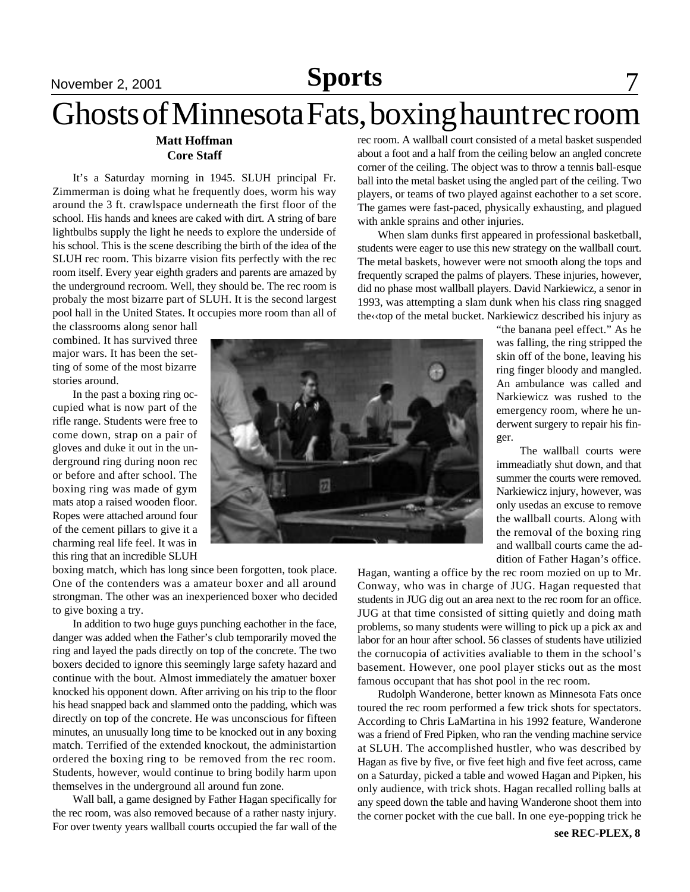# Ghosts of Minnesota Fats, boxing haunt rec room

### **Matt Hoffman Core Staff**

It's a Saturday morning in 1945. SLUH principal Fr. Zimmerman is doing what he frequently does, worm his way around the 3 ft. crawlspace underneath the first floor of the school. His hands and knees are caked with dirt. A string of bare lightbulbs supply the light he needs to explore the underside of his school. This is the scene describing the birth of the idea of the SLUH rec room. This bizarre vision fits perfectly with the rec room itself. Every year eighth graders and parents are amazed by the underground recroom. Well, they should be. The rec room is probaly the most bizarre part of SLUH. It is the second largest pool hall in the United States. It occupies more room than all of

the classrooms along senor hall combined. It has survived three major wars. It has been the setting of some of the most bizarre stories around.

In the past a boxing ring occupied what is now part of the rifle range. Students were free to come down, strap on a pair of gloves and duke it out in the underground ring during noon rec or before and after school. The boxing ring was made of gym mats atop a raised wooden floor. Ropes were attached around four of the cement pillars to give it a charming real life feel. It was in this ring that an incredible SLUH

boxing match, which has long since been forgotten, took place. One of the contenders was a amateur boxer and all around strongman. The other was an inexperienced boxer who decided to give boxing a try.

In addition to two huge guys punching eachother in the face, danger was added when the Father's club temporarily moved the ring and layed the pads directly on top of the concrete. The two boxers decided to ignore this seemingly large safety hazard and continue with the bout. Almost immediately the amatuer boxer knocked his opponent down. After arriving on his trip to the floor his head snapped back and slammed onto the padding, which was directly on top of the concrete. He was unconscious for fifteen minutes, an unusually long time to be knocked out in any boxing match. Terrified of the extended knockout, the administartion ordered the boxing ring to be removed from the rec room. Students, however, would continue to bring bodily harm upon themselves in the underground all around fun zone.

Wall ball, a game designed by Father Hagan specifically for the rec room, was also removed because of a rather nasty injury. For over twenty years wallball courts occupied the far wall of the rec room. A wallball court consisted of a metal basket suspended about a foot and a half from the ceiling below an angled concrete corner of the ceiling. The object was to throw a tennis ball-esque ball into the metal basket using the angled part of the ceiling. Two players, or teams of two played against eachother to a set score. The games were fast-paced, physically exhausting, and plagued with ankle sprains and other injuries.

When slam dunks first appeared in professional basketball, students were eager to use this new strategy on the wallball court. The metal baskets, however were not smooth along the tops and frequently scraped the palms of players. These injuries, however, did no phase most wallball players. David Narkiewicz, a senor in 1993, was attempting a slam dunk when his class ring snagged the‹‹top of the metal bucket. Narkiewicz described his injury as

> "the banana peel effect." As he was falling, the ring stripped the skin off of the bone, leaving his ring finger bloody and mangled. An ambulance was called and Narkiewicz was rushed to the emergency room, where he underwent surgery to repair his finger.

> The wallball courts were immeadiatly shut down, and that summer the courts were removed. Narkiewicz injury, however, was only usedas an excuse to remove the wallball courts. Along with the removal of the boxing ring and wallball courts came the addition of Father Hagan's office.

Hagan, wanting a office by the rec room mozied on up to Mr. Conway, who was in charge of JUG. Hagan requested that students in JUG dig out an area next to the rec room for an office. JUG at that time consisted of sitting quietly and doing math problems, so many students were willing to pick up a pick ax and labor for an hour after school. 56 classes of students have utilizied the cornucopia of activities avaliable to them in the school's basement. However, one pool player sticks out as the most famous occupant that has shot pool in the rec room.

Rudolph Wanderone, better known as Minnesota Fats once toured the rec room performed a few trick shots for spectators. According to Chris LaMartina in his 1992 feature, Wanderone was a friend of Fred Pipken, who ran the vending machine service at SLUH. The accomplished hustler, who was described by Hagan as five by five, or five feet high and five feet across, came on a Saturday, picked a table and wowed Hagan and Pipken, his only audience, with trick shots. Hagan recalled rolling balls at any speed down the table and having Wanderone shoot them into the corner pocket with the cue ball. In one eye-popping trick he